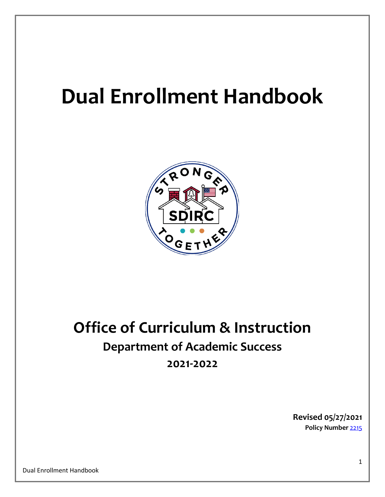# **Dual Enrollment Handbook**



## **Office of Curriculum & Instruction Department of Academic Success 2021-2022**

**Revised 05/27/2021 Policy Number** [2215](http://go.boarddocs.com/fl/ircs/Board.nsf/goto?open&id=C3YL575346F5)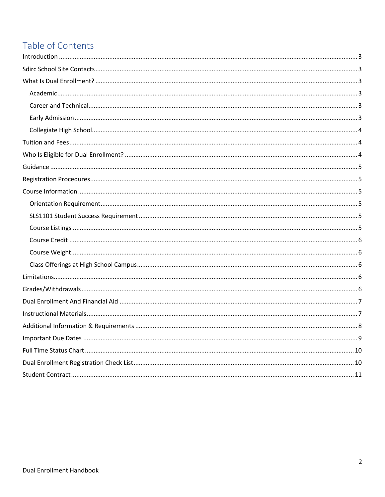### Table of Contents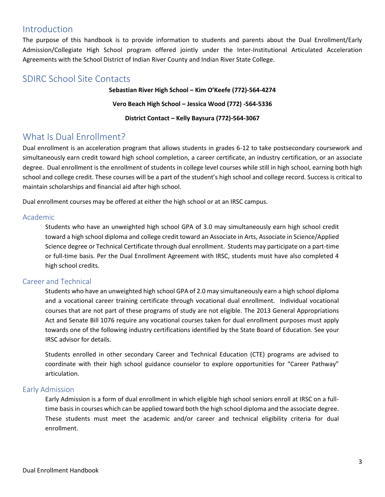### <span id="page-2-0"></span>Introduction

The purpose of this handbook is to provide information to students and parents about the Dual Enrollment/Early Admission/Collegiate High School program offered jointly under the Inter-Institutional Articulated Acceleration Agreements with the School District of Indian River County and Indian River State College.

#### <span id="page-2-1"></span>SDIRC School Site Contacts

**Sebastian River High School – Kim O'Keefe (772)-564-4274 Vero Beach High School – Jessica Wood (772) -564-5336 District Contact – Kelly Baysura (772)-564-3067**

### <span id="page-2-2"></span>What Is Dual Enrollment?

Dual enrollment is an acceleration program that allows students in grades 6-12 to take postsecondary coursework and simultaneously earn credit toward high school completion, a career certificate, an industry certification, or an associate degree. Dual enrollment is the enrollment of students in college level courses while still in high school, earning both high school and college credit. These courses will be a part of the student's high school and college record. Success is critical to maintain scholarships and financial aid after high school.

Dual enrollment courses may be offered at either the high school or at an IRSC campus.

#### <span id="page-2-3"></span>Academic

Students who have an unweighted high school GPA of 3.0 may simultaneously earn high school credit toward a high school diploma and college credit toward an Associate in Arts, Associate in Science/Applied Science degree or Technical Certificate through dual enrollment. Students may participate on a part-time or full-time basis. Per the Dual Enrollment Agreement with IRSC, students must have also completed 4 high school credits.

#### <span id="page-2-4"></span>Career and Technical

Students who have an unweighted high school GPA of 2.0 may simultaneously earn a high school diploma and a vocational career training certificate through vocational dual enrollment. Individual vocational courses that are not part of these programs of study are not eligible. The 2013 General Appropriations Act and Senate Bill 1076 require any vocational courses taken for dual enrollment purposes must apply towards one of the following industry certifications identified by the State Board of Education. See your IRSC advisor for details.

Students enrolled in other secondary Career and Technical Education (CTE) programs are advised to coordinate with their high school guidance counselor to explore opportunities for "Career Pathway" articulation.

#### <span id="page-2-5"></span>Early Admission

Early Admission is a form of dual enrollment in which eligible high school seniors enroll at IRSC on a fulltime basis in courses which can be applied toward both the high school diploma and the associate degree. These students must meet the academic and/or career and technical eligibility criteria for dual enrollment.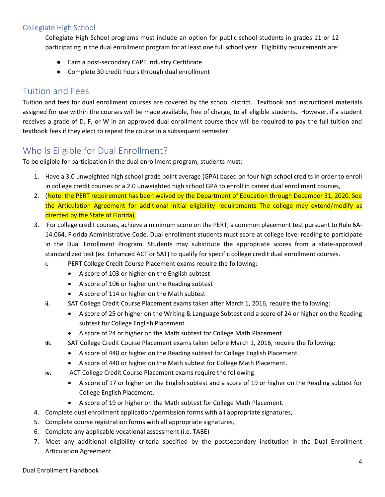#### <span id="page-3-0"></span>Collegiate High School

Collegiate High School programs must include an option for public school students in grades 11 or 12 participating in the dual enrollment program for at least one full school year. Eligibility requirements are:

- Earn a post-secondary CAPE Industry Certificate
- Complete 30 credit hours through dual enrollment

### <span id="page-3-1"></span>Tuition and Fees

Tuition and fees for dual enrollment courses are covered by the school district. Textbook and instructional materials assigned for use within the courses will be made available, free of charge, to all eligible students. However, if a student receives a grade of D, F, or W in an approved dual enrollment course they will be required to pay the full tuition and textbook fees if they elect to repeat the course in a subsequent semester.

### <span id="page-3-2"></span>Who Is Eligible for Dual Enrollment?

To be eligible for participation in the dual enrollment program, students must:

- 1. Have a 3.0 unweighted high school grade point average (GPA) based on four high school credits in order to enroll in college credit courses or a 2.0 unweighted high school GPA to enroll in career dual enrollment courses,
- 2. (Note: the PERT requirement has been waived by the Department of Education through December 31, 2020. See the Articulation Agreement for additional initial eligibility requirements The college may extend/modify as directed by the State of Florida).
- 3. For college credit courses, achieve a minimum score on the PERT, a common placement test pursuant to Rule 6A-14.064, Florida Administrative Code. Dual enrollment students must score at college level reading to participate in the Dual Enrollment Program. Students may substitute the appropriate scores from a state-approved standardized test (ex. Enhanced ACT or SAT) to qualify for specific college credit dual enrollment courses.
	- **i.** PERT College Credit Course Placement exams require the following:
		- A score of 103 or higher on the English subtest
		- A score of 106 or higher on the Reading subtest
		- A score of 114 or higher on the Math subtest
	- **ii.** SAT College Credit Course Placement exams taken after March 1, 2016, require the following:
		- A score of 25 or higher on the Writing & Language Subtest and a score of 24 or higher on the Reading subtest for College English Placement
		- A score of 24 or higher on the Math subtest for College Math Placement
	- **iii.** SAT College Credit Course Placement exams taken before March 1, 2016, require the following:
		- A score of 440 or higher on the Reading subtest for College English Placement.
		- A score of 440 or higher on the Math subtest for College Math Placement.
	- **iv.** ACT College Credit Course Placement exams require the following:
		- A score of 17 or higher on the English subtest and a score of 19 or higher on the Reading subtest for College English Placement.
		- A score of 19 or higher on the Math subtest for College Math Placement.
- 4. Complete dual enrollment application/permission forms with all appropriate signatures,
- 5. Complete course registration forms with all appropriate signatures,
- 6. Complete any applicable vocational assessment (i.e. TABE)
- 7. Meet any additional eligibility criteria specified by the postsecondary institution in the Dual Enrollment Articulation Agreement.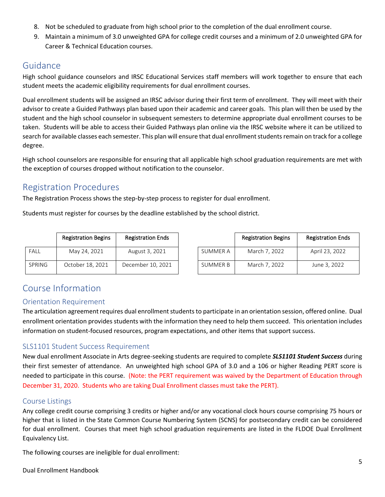- 8. Not be scheduled to graduate from high school prior to the completion of the dual enrollment course.
- 9. Maintain a minimum of 3.0 unweighted GPA for college credit courses and a minimum of 2.0 unweighted GPA for Career & Technical Education courses.

#### <span id="page-4-0"></span>Guidance

High school guidance counselors and IRSC Educational Services staff members will work together to ensure that each student meets the academic eligibility requirements for dual enrollment courses.

Dual enrollment students will be assigned an IRSC advisor during their first term of enrollment. They will meet with their advisor to create a Guided Pathways plan based upon their academic and career goals. This plan will then be used by the student and the high school counselor in subsequent semesters to determine appropriate dual enrollment courses to be taken. Students will be able to access their Guided Pathways plan online via the IRSC website where it can be utilized to search for available classes each semester. This plan will ensure that dual enrollment students remain on track for a college degree.

High school counselors are responsible for ensuring that all applicable high school graduation requirements are met with the exception of courses dropped without notification to the counselor.

### <span id="page-4-1"></span>Registration Procedures

The Registration Process shows the step-by-step process to register for dual enrollment.

Students must register for courses by the deadline established by the school district.

|               | <b>Registration Begins</b> | <b>Registration Ends</b> |          | <b>Registration Begins</b> | <b>Registration Ends</b> |
|---------------|----------------------------|--------------------------|----------|----------------------------|--------------------------|
| <b>FALL</b>   | May 24, 2021               | August 3, 2021           | SUMMER A | March 7, 2022              | April 23, 2022           |
| <b>SPRING</b> | October 18, 2021           | December 10, 2021        | SUMMER B | March 7, 2022              | June 3, 2022             |

### <span id="page-4-2"></span>Course Information

#### <span id="page-4-3"></span>Orientation Requirement

The articulation agreement requires dual enrollment students to participate in an orientation session, offered online. Dual enrollment orientation provides students with the information they need to help them succeed. This orientation includes information on student-focused resources, program expectations, and other items that support success.

#### <span id="page-4-4"></span>SLS1101 Student Success Requirement

New dual enrollment Associate in Arts degree-seeking students are required to complete *SLS1101 Student Success* during their first semester of attendance. An unweighted high school GPA of 3.0 and a 106 or higher Reading PERT score is needed to participate in this course. (Note: the PERT requirement was waived by the Department of Education through December 31, 2020. Students who are taking Dual Enrollment classes must take the PERT).

#### <span id="page-4-5"></span>Course Listings

Any college credit course comprising 3 credits or higher and/or any vocational clock hours course comprising 75 hours or higher that is listed in the State Common Course Numbering System (SCNS) for postsecondary credit can be considered for dual enrollment. Courses that meet high school graduation requirements are listed in the FLDOE Dual Enrollment Equivalency List.

The following courses are ineligible for dual enrollment: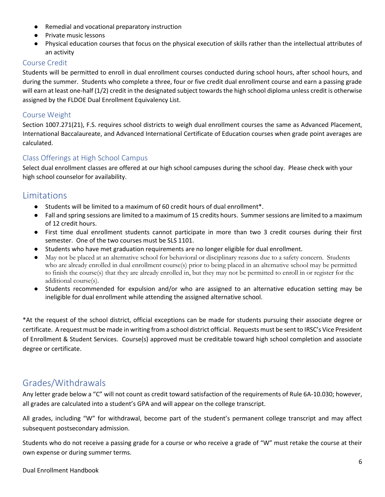- Remedial and vocational preparatory instruction
- Private music lessons
- Physical education courses that focus on the physical execution of skills rather than the intellectual attributes of an activity

#### <span id="page-5-0"></span>Course Credit

Students will be permitted to enroll in dual enrollment courses conducted during school hours, after school hours, and during the summer. Students who complete a three, four or five credit dual enrollment course and earn a passing grade will earn at least one-half (1/2) credit in the designated subject towards the high school diploma unless credit is otherwise assigned by the FLDOE Dual Enrollment Equivalency List.

#### <span id="page-5-1"></span>Course Weight

Section 1007.271(21), F.S. requires school districts to weigh dual enrollment courses the same as Advanced Placement, International Baccalaureate, and Advanced International Certificate of Education courses when grade point averages are calculated.

#### <span id="page-5-2"></span>Class Offerings at High School Campus

Select dual enrollment classes are offered at our high school campuses during the school day. Please check with your high school counselor for availability.

#### <span id="page-5-3"></span>Limitations

- Students will be limited to a maximum of 60 credit hours of dual enrollment<sup>\*</sup>.
- Fall and spring sessions are limited to a maximum of 15 credits hours. Summer sessions are limited to a maximum of 12 credit hours.
- First time dual enrollment students cannot participate in more than two 3 credit courses during their first semester. One of the two courses must be SLS 1101.
- Students who have met graduation requirements are no longer eligible for dual enrollment.
- May not be placed at an alternative school for behavioral or disciplinary reasons due to a safety concern. Students who are already enrolled in dual enrollment course(s) prior to being placed in an alternative school may be permitted to finish the course(s) that they are already enrolled in, but they may not be permitted to enroll in or register for the additional course(s).
- Students recommended for expulsion and/or who are assigned to an alternative education setting may be ineligible for dual enrollment while attending the assigned alternative school.

\*At the request of the school district, official exceptions can be made for students pursuing their associate degree or certificate. A request must be made in writing from a school district official. Requests must be sent to IRSC's Vice President of Enrollment & Student Services. Course(s) approved must be creditable toward high school completion and associate degree or certificate.

### <span id="page-5-4"></span>Grades/Withdrawals

Any letter grade below a "C" will not count as credit toward satisfaction of the requirements of Rule 6A-10.030; however, all grades are calculated into a student's GPA and will appear on the college transcript.

All grades, including "W" for withdrawal, become part of the student's permanent college transcript and may affect subsequent postsecondary admission.

Students who do not receive a passing grade for a course or who receive a grade of "W" must retake the course at their own expense or during summer terms.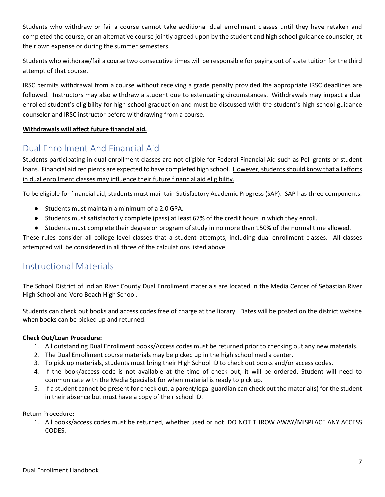Students who withdraw or fail a course cannot take additional dual enrollment classes until they have retaken and completed the course, or an alternative course jointly agreed upon by the student and high school guidance counselor, at their own expense or during the summer semesters.

Students who withdraw/fail a course two consecutive times will be responsible for paying out of state tuition for the third attempt of that course.

IRSC permits withdrawal from a course without receiving a grade penalty provided the appropriate IRSC deadlines are followed. Instructors may also withdraw a student due to extenuating circumstances. Withdrawals may impact a dual enrolled student's eligibility for high school graduation and must be discussed with the student's high school guidance counselor and IRSC instructor before withdrawing from a course.

#### **Withdrawals will affect future financial aid.**

### <span id="page-6-0"></span>Dual Enrollment And Financial Aid

Students participating in dual enrollment classes are not eligible for Federal Financial Aid such as Pell grants or student loans. Financial aid recipients are expected to have completed high school. However, students should know that all efforts in dual enrollment classes may influence their future financial aid eligibility.

To be eligible for financial aid, students must maintain Satisfactory Academic Progress (SAP). SAP has three components:

- Students must maintain a minimum of a 2.0 GPA.
- Students must satisfactorily complete (pass) at least 67% of the credit hours in which they enroll.
- Students must complete their degree or program of study in no more than 150% of the normal time allowed.

These rules consider all college level classes that a student attempts, including dual enrollment classes. All classes attempted will be considered in all three of the calculations listed above.

### <span id="page-6-1"></span>Instructional Materials

The School District of Indian River County Dual Enrollment materials are located in the Media Center of Sebastian River High School and Vero Beach High School.

Students can check out books and access codes free of charge at the library. Dates will be posted on the district website when books can be picked up and returned.

#### **Check Out/Loan Procedure:**

- 1. All outstanding Dual Enrollment books/Access codes must be returned prior to checking out any new materials.
- 2. The Dual Enrollment course materials may be picked up in the high school media center.
- 3. To pick up materials, students must bring their High School ID to check out books and/or access codes.
- 4. If the book/access code is not available at the time of check out, it will be ordered. Student will need to communicate with the Media Specialist for when material is ready to pick up.
- 5. If a student cannot be present for check out, a parent/legal guardian can check out the material(s) for the student in their absence but must have a copy of their school ID.

Return Procedure:

1. All books/access codes must be returned, whether used or not. DO NOT THROW AWAY/MISPLACE ANY ACCESS CODES.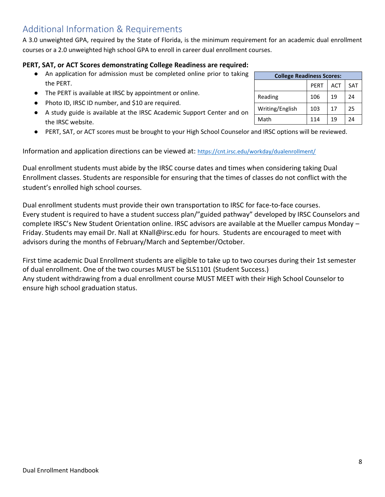## <span id="page-7-0"></span>Additional Information & Requirements

A 3.0 unweighted GPA, required by the State of Florida, is the minimum requirement for an academic dual enrollment courses or a 2.0 unweighted high school GPA to enroll in career dual enrollment courses.

#### **PERT, SAT, or ACT Scores demonstrating College Readiness are required:**

- An application for admission must be completed online prior to taking the PERT.
- The PERT is available at IRSC by appointment or online.
- Photo ID, IRSC ID number, and \$10 are required.
- A study guide is available at the IRSC Academic Support Center and on the IRSC website.
- PERT, SAT, or ACT scores must be brought to your High School Counselor and IRSC options will be reviewed.

Information and application directions can be viewed at: <https://cnt.irsc.edu/workday/dualenrollment/>

Dual enrollment students must abide by the IRSC course dates and times when considering taking Dual Enrollment classes. Students are responsible for ensuring that the times of classes do not conflict with the student's enrolled high school courses.

Dual enrollment students must provide their own transportation to IRSC for face-to-face courses. Every student is required to have a student success plan/"guided pathway" developed by IRSC Counselors and complete IRSC's New Student Orientation online. IRSC advisors are available at the Mueller campus Monday – Friday. Students may email Dr. Nall at [KNall@irsc.edu](mailto:KNall@irsc.edu) for hours. Students are encouraged to meet with advisors during the months of February/March and September/October.

First time academic Dual Enrollment students are eligible to take up to two courses during their 1st semester of dual enrollment. One of the two courses MUST be SLS1101 (Student Success.) Any student withdrawing from a dual enrollment course MUST MEET with their High School Counselor to ensure high school graduation status.

| <b>College Readiness Scores:</b> |             |            |            |
|----------------------------------|-------------|------------|------------|
|                                  | <b>PERT</b> | <b>ACT</b> | <b>SAT</b> |
| Reading                          | 106         | 19         | 24         |
| Writing/English                  | 103         | 17         | 25         |
| Math                             | 114         | 19         | 24         |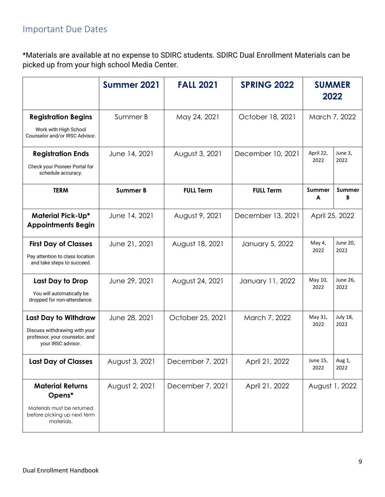### <span id="page-8-0"></span>Important Due Dates

\*Materials are available at no expense to SDIRC students. SDIRC Dual Enrollment Materials can be picked up from your high school Media Center.

|                                                                                                               | Summer 2021     | <b>FALL 2021</b> | <b>SPRING 2022</b> | <b>SUMMER</b><br>2022 |                  |
|---------------------------------------------------------------------------------------------------------------|-----------------|------------------|--------------------|-----------------------|------------------|
| <b>Registration Begins</b><br>Work with High School<br>Counselor and/or IRSC Advisor.                         | Summer B        | May 24, 2021     | October 18, 2021   | March 7, 2022         |                  |
| <b>Registration Ends</b><br>Check your Pioneer Portal for<br>schedule accuracy.                               | June 14, 2021   | August 3, 2021   | December 10, 2021  | April 22,<br>2022     | June 3,<br>2022  |
| <b>TERM</b>                                                                                                   | <b>Summer B</b> | <b>FULL Term</b> | <b>FULL Term</b>   | <b>Summer</b><br>A    | Summer<br>B      |
| <b>Material Pick-Up*</b><br><b>Appointments Begin</b>                                                         | June 14, 2021   | August 9, 2021   | December 13, 2021  | April 25, 2022        |                  |
| <b>First Day of Classes</b><br>Pay attention to class location<br>and take steps to succeed.                  | June 21, 2021   | August 18, 2021  | January 5, 2022    | May 4,<br>2022        | June 20,<br>2022 |
| Last Day to Drop<br>You will automatically be<br>dropped for non-attendance.                                  | June 29, 2021   | August 24, 2021  | January 11, 2022   | May 10,<br>2022       | June 26,<br>2022 |
| Last Day to Withdraw<br>Discuss withdrawing with your<br>professor, your counselor, and<br>your IRSC advisor. | June 28, 2021   | October 25, 2021 | March 7, 2022      | May 31,<br>2022       | July 18,<br>2022 |
| <b>Last Day of Classes</b>                                                                                    | August 3, 2021  | December 7, 2021 | April 21, 2022     | June 15,<br>2022      | Aug 1,<br>2022   |
| <b>Material Returns</b><br>Opens*<br>Materials must be returned<br>before picking up next term<br>materials.  | August 2, 2021  | December 7, 2021 | April 21, 2022     | August 1, 2022        |                  |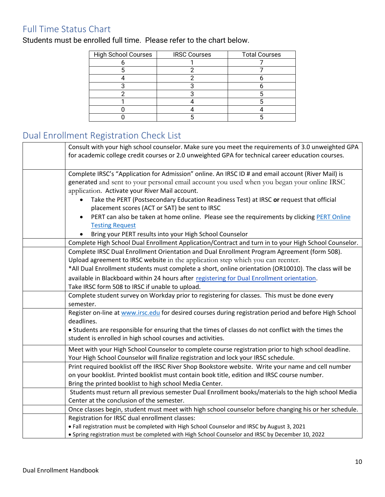### <span id="page-9-0"></span>Full Time Status Chart

Students must be enrolled full time. Please refer to the chart below.

| <b>High School Courses</b> | <b>IRSC Courses</b> | <b>Total Courses</b> |
|----------------------------|---------------------|----------------------|
|                            |                     |                      |
|                            |                     |                      |
|                            |                     |                      |
|                            |                     |                      |
|                            |                     |                      |
|                            |                     |                      |
|                            |                     |                      |
|                            |                     |                      |

### <span id="page-9-1"></span>Dual Enrollment Registration Check List

| Consult with your high school counselor. Make sure you meet the requirements of 3.0 unweighted GPA<br>for academic college credit courses or 2.0 unweighted GPA for technical career education courses. |
|---------------------------------------------------------------------------------------------------------------------------------------------------------------------------------------------------------|
| Complete IRSC's "Application for Admission" online. An IRSC ID # and email account (River Mail) is                                                                                                      |
| generated and sent to your personal email account you used when you began your online IRSC                                                                                                              |
| application. Activate your River Mail account.                                                                                                                                                          |
| Take the PERT (Postsecondary Education Readiness Test) at IRSC or request that official                                                                                                                 |
| placement scores (ACT or SAT) be sent to IRSC                                                                                                                                                           |
| PERT can also be taken at home online. Please see the requirements by clicking PERT Online                                                                                                              |
| <b>Testing Request</b>                                                                                                                                                                                  |
| Bring your PERT results into your High School Counselor                                                                                                                                                 |
| Complete High School Dual Enrollment Application/Contract and turn in to your High School Counselor.                                                                                                    |
| Complete IRSC Dual Enrollment Orientation and Dual Enrollment Program Agreement (form 508).                                                                                                             |
| Upload agreement to IRSC website in the application step which you can reenter.                                                                                                                         |
| *All Dual Enrollment students must complete a short, online orientation (OR10010). The class will be                                                                                                    |
| available in Blackboard within 24 hours after registering for Dual Enrollment orientation.                                                                                                              |
| Take IRSC form 508 to IRSC if unable to upload.                                                                                                                                                         |
| Complete student survey on Workday prior to registering for classes. This must be done every                                                                                                            |
| semester.                                                                                                                                                                                               |
| Register on-line at www.irsc.edu for desired courses during registration period and before High School                                                                                                  |
| deadlines.                                                                                                                                                                                              |
| • Students are responsible for ensuring that the times of classes do not conflict with the times the                                                                                                    |
| student is enrolled in high school courses and activities.                                                                                                                                              |
| Meet with your High School Counselor to complete course registration prior to high school deadline.                                                                                                     |
| Your High School Counselor will finalize registration and lock your IRSC schedule.                                                                                                                      |
| Print required booklist off the IRSC River Shop Bookstore website. Write your name and cell number                                                                                                      |
| on your booklist. Printed booklist must contain book title, edition and IRSC course number.                                                                                                             |
| Bring the printed booklist to high school Media Center.                                                                                                                                                 |
| Students must return all previous semester Dual Enrollment books/materials to the high school Media                                                                                                     |
| Center at the conclusion of the semester.                                                                                                                                                               |
| Once classes begin, student must meet with high school counselor before changing his or her schedule.                                                                                                   |
| Registration for IRSC dual enrollment classes:                                                                                                                                                          |
| • Fall registration must be completed with High School Counselor and IRSC by August 3, 2021                                                                                                             |
| · Spring registration must be completed with High School Counselor and IRSC by December 10, 2022                                                                                                        |